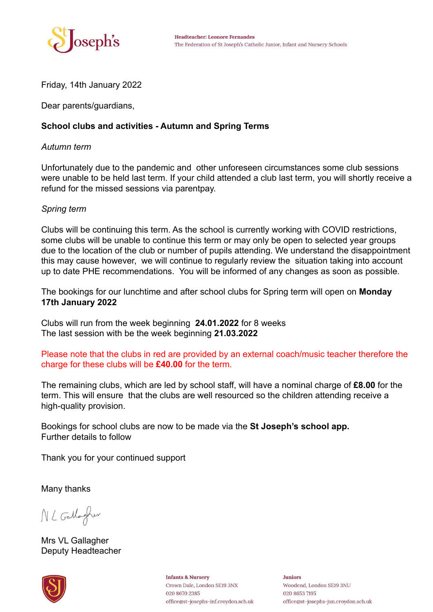

Friday, 14th January 2022

Dear parents/guardians,

## **School clubs and activities - Autumn and Spring Terms**

## *Autumn term*

Unfortunately due to the pandemic and other unforeseen circumstances some club sessions were unable to be held last term. If your child attended a club last term, you will shortly receive a refund for the missed sessions via parentpay.

## *Spring term*

Clubs will be continuing this term. As the school is currently working with COVID restrictions, some clubs will be unable to continue this term or may only be open to selected year groups due to the location of the club or number of pupils attending. We understand the disappointment this may cause however, we will continue to regularly review the situation taking into account up to date PHE recommendations. You will be informed of any changes as soon as possible.

The bookings for our lunchtime and after school clubs for Spring term will open on **Monday 17th January 2022**

Clubs will run from the week beginning **24.01.2022** for 8 weeks The last session with be the week beginning **21.03.2022**

Please note that the clubs in red are provided by an external coach/music teacher therefore the charge for these clubs will be **£40.00** for the term.

The remaining clubs, which are led by school staff, will have a nominal charge of **£8.00** for the term. This will ensure that the clubs are well resourced so the children attending receive a high-quality provision.

Bookings for school clubs are now to be made via the **St Joseph's school app.** Further details to follow

Thank you for your continued support

Many thanks

NL Gallagher

Mrs VL Gallagher Deputy Headteacher



**Infants & Nursery** Crown Dale, London SE19 3NX 020 8670 2385 office@st-josephs-inf.croydon.sch.uk **Juniors** Woodend, London SE19 3NU 020 8653 7195 office@st-josephs-jun.croydon.sch.uk